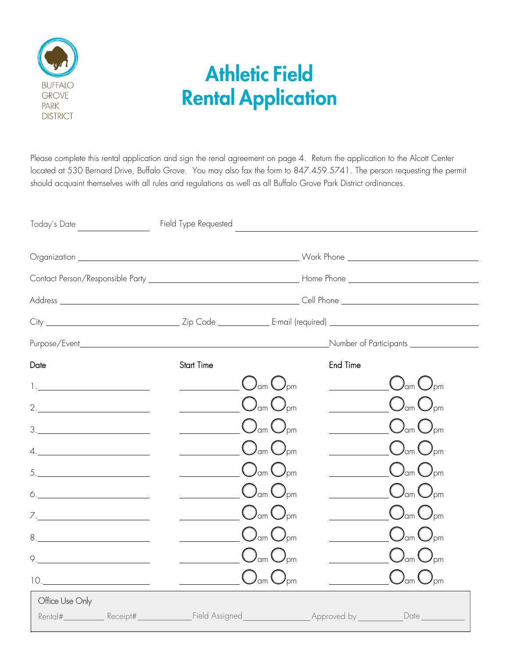

# Athletic Field Rental Application

Please complete this rental application and sign the renal agreement on page 4. Return the application to the Alcott Center located at 530 Bernard Drive, Buffalo Grove. You may also fax the form to 847.459.5741. The person requesting the permit should acquaint themselves with all rules and regulations as well as all Buffalo Grove Park District ordinances.

| Today's Date _____________________                                                                                                                                                                                                                                                                                                                                                                                                                                                                                                                                                                                   |                                                                                                                                                                                                                                                                                                                                        |                                          |          |                                               |  |  |
|----------------------------------------------------------------------------------------------------------------------------------------------------------------------------------------------------------------------------------------------------------------------------------------------------------------------------------------------------------------------------------------------------------------------------------------------------------------------------------------------------------------------------------------------------------------------------------------------------------------------|----------------------------------------------------------------------------------------------------------------------------------------------------------------------------------------------------------------------------------------------------------------------------------------------------------------------------------------|------------------------------------------|----------|-----------------------------------------------|--|--|
|                                                                                                                                                                                                                                                                                                                                                                                                                                                                                                                                                                                                                      |                                                                                                                                                                                                                                                                                                                                        |                                          |          |                                               |  |  |
|                                                                                                                                                                                                                                                                                                                                                                                                                                                                                                                                                                                                                      |                                                                                                                                                                                                                                                                                                                                        |                                          |          |                                               |  |  |
|                                                                                                                                                                                                                                                                                                                                                                                                                                                                                                                                                                                                                      |                                                                                                                                                                                                                                                                                                                                        |                                          |          |                                               |  |  |
|                                                                                                                                                                                                                                                                                                                                                                                                                                                                                                                                                                                                                      |                                                                                                                                                                                                                                                                                                                                        |                                          |          |                                               |  |  |
|                                                                                                                                                                                                                                                                                                                                                                                                                                                                                                                                                                                                                      |                                                                                                                                                                                                                                                                                                                                        |                                          |          | Number of Participants <u>_______________</u> |  |  |
| Date                                                                                                                                                                                                                                                                                                                                                                                                                                                                                                                                                                                                                 | <b>Start Time</b>                                                                                                                                                                                                                                                                                                                      |                                          | End Time |                                               |  |  |
|                                                                                                                                                                                                                                                                                                                                                                                                                                                                                                                                                                                                                      |                                                                                                                                                                                                                                                                                                                                        | $\bigcirc$ am $\bigcirc$ <sub>pm</sub>   |          | $\bigcup_{\text{dm}}\bigcup_{\text{pm}}$      |  |  |
| $2. \underline{\hspace{2cm}}$                                                                                                                                                                                                                                                                                                                                                                                                                                                                                                                                                                                        |                                                                                                                                                                                                                                                                                                                                        | $\bigcup_{\alpha m} \bigcup_{\beta m}$   |          | $\bigcup_{\text{dm}}\bigcup_{\text{pm}}$      |  |  |
| $\begin{tabular}{c} 3. & \underline{\hspace{1cm}} & \underline{\hspace{1cm}} & \underline{\hspace{1cm}} & \underline{\hspace{1cm}} & \underline{\hspace{1cm}} \\ \underline{\hspace{1cm}} & \underline{\hspace{1cm}} & \underline{\hspace{1cm}} & \underline{\hspace{1cm}} & \underline{\hspace{1cm}} \\ \underline{\hspace{1cm}} & \underline{\hspace{1cm}} & \underline{\hspace{1cm}} & \underline{\hspace{1cm}} & \underline{\hspace{1cm}} \\ \underline{\hspace{1cm}} & \underline{\hspace{1cm}} & \underline{\hspace{1cm}} & \underline{\hspace{1cm}} & \underline{\hspace{1cm}} \\ \underline{\hspace{1cm$     |                                                                                                                                                                                                                                                                                                                                        | $\bigcup_{\text{dm}}\bigcup_{\text{pm}}$ |          | $\bigcup_{\text{om}}\bigcup_{\text{om}}$      |  |  |
| $\begin{picture}(20,10) \put(0,0){\dashbox{0.5}(5,0){ }} \put(15,0){\dashbox{0.5}(5,0){ }} \put(15,0){\dashbox{0.5}(5,0){ }} \put(15,0){\dashbox{0.5}(5,0){ }} \put(15,0){\dashbox{0.5}(5,0){ }} \put(15,0){\dashbox{0.5}(5,0){ }} \put(15,0){\dashbox{0.5}(5,0){ }} \put(15,0){\dashbox{0.5}(5,0){ }} \put(15,0){\dashbox{0.5}(5,0){ }} \put(15,0){\dashbox{0.5}(5,0){ }}$                                                                                                                                                                                                                                          |                                                                                                                                                                                                                                                                                                                                        | $\bigcup_{\alpha m} \bigcup_{\beta m}$   |          | $\bigcup_{\alpha m} \bigcup_{\beta m}$        |  |  |
| $5. \underline{\hspace{2cm}}$                                                                                                                                                                                                                                                                                                                                                                                                                                                                                                                                                                                        | $\begin{picture}(180,17) \put(15,17){\line(1,0){155}} \put(15,17){\line(1,0){155}} \put(15,17){\line(1,0){155}} \put(15,17){\line(1,0){155}} \put(15,17){\line(1,0){155}} \put(15,17){\line(1,0){155}} \put(15,17){\line(1,0){155}} \put(15,17){\line(1,0){155}} \put(15,17){\line(1,0){155}} \put(15,17){\line(1,0){155}} \put(15,17$ |                                          |          | $\bigcup_{\alpha m} \bigcup_{\beta m}$        |  |  |
| $\begin{picture}(20,10) \put(0,0){\vector(1,0){100}} \put(15,0){\vector(1,0){100}} \put(15,0){\vector(1,0){100}} \put(15,0){\vector(1,0){100}} \put(15,0){\vector(1,0){100}} \put(15,0){\vector(1,0){100}} \put(15,0){\vector(1,0){100}} \put(15,0){\vector(1,0){100}} \put(15,0){\vector(1,0){100}} \put(15,0){\vector(1,0){100}} \put(15,0){\vector(1,0){100}} \$                                                                                                                                                                                                                                                  | $\bigcirc$ am $\bigcirc$ pm                                                                                                                                                                                                                                                                                                            |                                          |          | $\bigcup_{\text{om}}$ $\bigcup_{\text{pm}}$   |  |  |
|                                                                                                                                                                                                                                                                                                                                                                                                                                                                                                                                                                                                                      | $\underline{\qquad \qquad }$ $\bigcup_{\text{am}}\bigcup_{\text{pm}}$                                                                                                                                                                                                                                                                  |                                          |          | $\bigcup_{\text{om}}$ $\bigcup_{\text{pm}}$   |  |  |
| $8. \underline{\hspace{2cm}}$                                                                                                                                                                                                                                                                                                                                                                                                                                                                                                                                                                                        | $\underline{\hspace{1cm}}$ $\bigcup_{\text{dm}} \bigodot_{\text{pm}}$                                                                                                                                                                                                                                                                  |                                          |          | $\bigcup_{\text{om}}$ $\bigcup_{\text{pm}}$   |  |  |
| $9. \begin{tabular}{l} \multicolumn{2}{c} {\textbf \textcolor{red}{\bf \textcolor{green}{\bf \textcolor{green}{\bf \textcolor{green}{\bf \textcolor{green}{\bf \textcolor{green}{\bf \textcolor{green}{\bf \textcolor{green}{\bf \textcolor{green}{\bf \textcolor{green}{\bf \textcolor{green}{\bf \textcolor{green}{\bf \textcolor{green}{\bf \textcolor{green}{\bf \textcolor{green}{\bf \textcolor{green}{\bf \textcolor{green}{\bf \textcolor{green}{\bf \textcolor{green}{\bf \textcolor{green}{\bf \textcolor{green}{\bf \textcolor{green}{\bf \textcolor{green}{\bf \textcolor{green}{\bf \textcolor{green}{$ | $\underline{\qquad \qquad }$ $O_{\scriptscriptstyle \textrm{om}}\, O_{\scriptscriptstyle \textrm{pm}}$                                                                                                                                                                                                                                 |                                          |          | $\bigcup_{\text{om}}$ $\bigcup_{\text{pm}}$   |  |  |
| 10.                                                                                                                                                                                                                                                                                                                                                                                                                                                                                                                                                                                                                  | $\underline{\qquad \qquad }$ $\qquad \qquad \qquad \bigcup_{\text{dm}}\bigcup_{\text{pm}}$                                                                                                                                                                                                                                             |                                          |          | $\bigcup_{\alpha m} \bigcup_{\beta m}$        |  |  |
| Office Use Only                                                                                                                                                                                                                                                                                                                                                                                                                                                                                                                                                                                                      |                                                                                                                                                                                                                                                                                                                                        |                                          |          |                                               |  |  |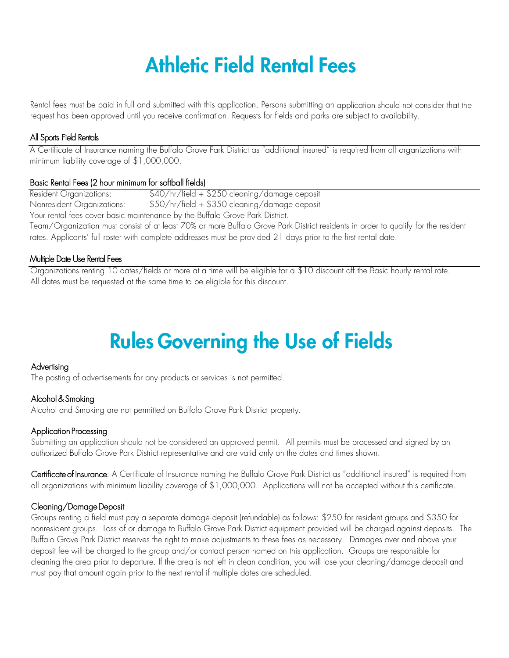# Athletic Field Rental Fees

Rental fees must be paid in full and submitted with this application. Persons submitting an application should not consider that the request has been approved until you receive confirmation. Requests for fields and parks are subject to availability.

#### All Sports Field Rentals

A Certificate of Insurance naming the Buffalo Grove Park District as "additional insured" is required from all organizations with minimum liability coverage of \$1,000,000.

#### Basic Rental Fees (2 hour minimum for softball fields)

Resident Organizations: \$40/hr/field + \$250 cleaning/damage deposit Nonresident Organizations: \$50/hr/field + \$350 cleaning/damage deposit Your rental fees cover basic maintenance by the Buffalo Grove Park District. Team/Organization must consist of at least 70% or more Buffalo Grove Park District residents in order to qualify for the resident rates. Applicants' full roster with complete addresses must be provided 21 days prior to the first rental date.

#### Multiple Date Use Rental Fees

Organizations renting 10 dates/fields or more at a time will be eligible for a \$10 discount off the Basic hourly rental rate. All dates must be requested at the same time to be eligible for this discount.

# Rules Governing the Use of Fields

#### Advertising

The posting of advertisements for any products or services is not permitted.

#### Alcohol & Smoking

Alcohol and Smoking are not permitted on Buffalo Grove Park District property.

#### Application Processing

Submitting an application should not be considered an approved permit. All permits must be processed and signed by an authorized Buffalo Grove Park District representative and are valid only on the dates and times shown.

Certificate of Insurance: A Certificate of Insurance naming the Buffalo Grove Park District as "additional insured" is required from all organizations with minimum liability coverage of \$1,000,000. Applications will not be accepted without this certificate.

#### Cleaning/Damage Deposit

Groups renting a field must pay a separate damage deposit (refundable) as follows: \$250 for resident groups and \$350 for nonresident groups. Loss of or damage to Buffalo Grove Park District equipment provided will be charged against deposits. The Buffalo Grove Park District reserves the right to make adjustments to these fees as necessary. Damages over and above your deposit fee will be charged to the group and/or contact person named on this application. Groups are responsible for cleaning the area prior to departure. If the area is not left in clean condition, you will lose your cleaning/damage deposit and must pay that amount again prior to the next rental if multiple dates are scheduled.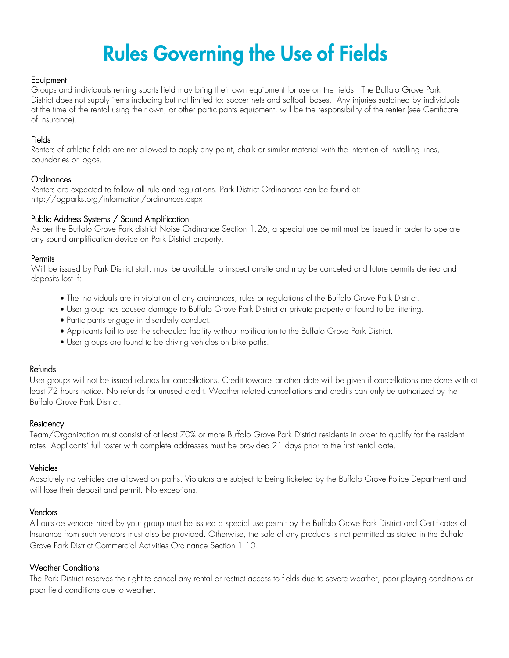# Rules Governing the Use of Fields

#### **Equipment**

Groups and individuals renting sports field may bring their own equipment for use on the fields. The Buffalo Grove Park District does not supply items including but not limited to: soccer nets and softball bases. Any injuries sustained by individuals at the time of the rental using their own, or other participants equipment, will be the responsibility of the renter (see Certificate of Insurance).

#### Fields

Renters of athletic fields are not allowed to apply any paint, chalk or similar material with the intention of installing lines, boundaries or logos.

#### Ordinances

Renters are expected to follow all rule and regulations. Park District Ordinances can be found at: http://bgparks.org/information/ordinances.aspx

#### Public Address Systems / Sound Amplification

As per the Buffalo Grove Park district Noise Ordinance Section 1.26, a special use permit must be issued in order to operate any sound amplification device on Park District property.

#### **Permits**

Will be issued by Park District staff, must be available to inspect on-site and may be canceled and future permits denied and deposits lost if:

- The individuals are in violation of any ordinances, rules or regulations of the Buffalo Grove Park District.
- User group has caused damage to Buffalo Grove Park District or private property or found to be littering.
- Participants engage in disorderly conduct.
- Applicants fail to use the scheduled facility without notification to the Buffalo Grove Park District.
- User groups are found to be driving vehicles on bike paths.

#### Refunds

User groups will not be issued refunds for cancellations. Credit towards another date will be given if cancellations are done with at least 72 hours notice. No refunds for unused credit. Weather related cancellations and credits can only be authorized by the Buffalo Grove Park District.

#### Residency

Team/Organization must consist of at least 70% or more Buffalo Grove Park District residents in order to qualify for the resident rates. Applicants' full roster with complete addresses must be provided 21 days prior to the first rental date.

#### Vehicles

Absolutely no vehicles are allowed on paths. Violators are subject to being ticketed by the Buffalo Grove Police Department and will lose their deposit and permit. No exceptions.

#### Vendors

All outside vendors hired by your group must be issued a special use permit by the Buffalo Grove Park District and Certificates of Insurance from such vendors must also be provided. Otherwise, the sale of any products is not permitted as stated in the Buffalo Grove Park District Commercial Activities Ordinance Section 1.10.

#### Weather Conditions

The Park District reserves the right to cancel any rental or restrict access to fields due to severe weather, poor playing conditions or poor field conditions due to weather.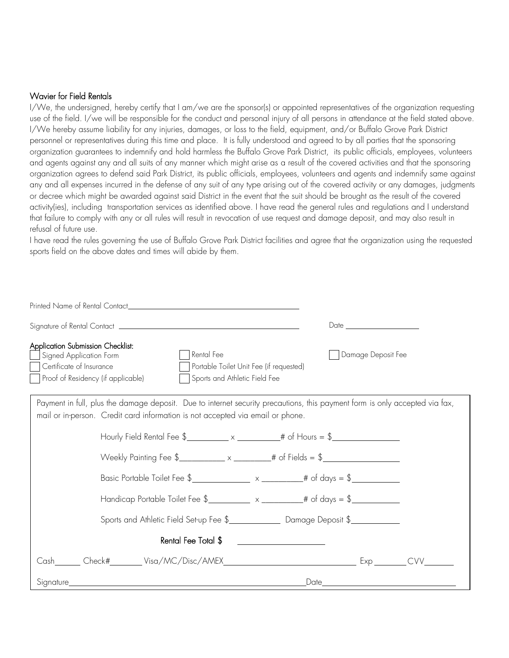#### Wavier for Field Rentals

I/We, the undersigned, hereby certify that I am/we are the sponsor(s) or appointed representatives of the organization requesting use of the field. I/we will be responsible for the conduct and personal injury of all persons in attendance at the field stated above. I/We hereby assume liability for any injuries, damages, or loss to the field, equipment, and/or Buffalo Grove Park District personnel or representatives during this time and place. It is fully understood and agreed to by all parties that the sponsoring organization guarantees to indemnify and hold harmless the Buffalo Grove Park District, its public officials, employees, volunteers and agents against any and all suits of any manner which might arise as a result of the covered activities and that the sponsoring organization agrees to defend said Park District, its public officials, employees, volunteers and agents and indemnify same against any and all expenses incurred in the defense of any suit of any type arising out of the covered activity or any damages, judgments or decree which might be awarded against said District in the event that the suit should be brought as the result of the covered activity(ies), including transportation services as identified above. I have read the general rules and regulations and I understand that failure to comply with any or all rules will result in revocation of use request and damage deposit, and may also result in refusal of future use.

I have read the rules governing the use of Buffalo Grove Park District facilities and agree that the organization using the requested sports field on the above dates and times will abide by them.

|                                                                                                                                                                                                                                 | Date and the contract of the contract of the contract of the contract of the contract of the contract of the contract of the contract of the contract of the contract of the contract of the contract of the contract of the c |  |  |
|---------------------------------------------------------------------------------------------------------------------------------------------------------------------------------------------------------------------------------|--------------------------------------------------------------------------------------------------------------------------------------------------------------------------------------------------------------------------------|--|--|
| <b>Application Submission Checklist:</b><br>Rental Fee<br>Signed Application Form<br>Certificate of Insurance<br>Portable Toilet Unit Fee (if requested)<br>Proof of Residency (if applicable)<br>Sports and Athletic Field Fee | Damage Deposit Fee                                                                                                                                                                                                             |  |  |
| Payment in full, plus the damage deposit. Due to internet security precautions, this payment form is only accepted via fax,<br>mail or in-person. Credit card information is not accepted via email or phone.                   |                                                                                                                                                                                                                                |  |  |
| Hourly Field Rental Fee $\frac{2}{3}$ x x $\frac{1}{3}$ # of Hours = $\frac{2}{3}$                                                                                                                                              |                                                                                                                                                                                                                                |  |  |
|                                                                                                                                                                                                                                 |                                                                                                                                                                                                                                |  |  |
|                                                                                                                                                                                                                                 |                                                                                                                                                                                                                                |  |  |
|                                                                                                                                                                                                                                 |                                                                                                                                                                                                                                |  |  |
|                                                                                                                                                                                                                                 |                                                                                                                                                                                                                                |  |  |
| Rental Fee Total \$                                                                                                                                                                                                             |                                                                                                                                                                                                                                |  |  |
|                                                                                                                                                                                                                                 | CVV                                                                                                                                                                                                                            |  |  |
|                                                                                                                                                                                                                                 | $\_Date$<br><u> 1989 - Johann Barn, mars ar breis an t-San A</u>                                                                                                                                                               |  |  |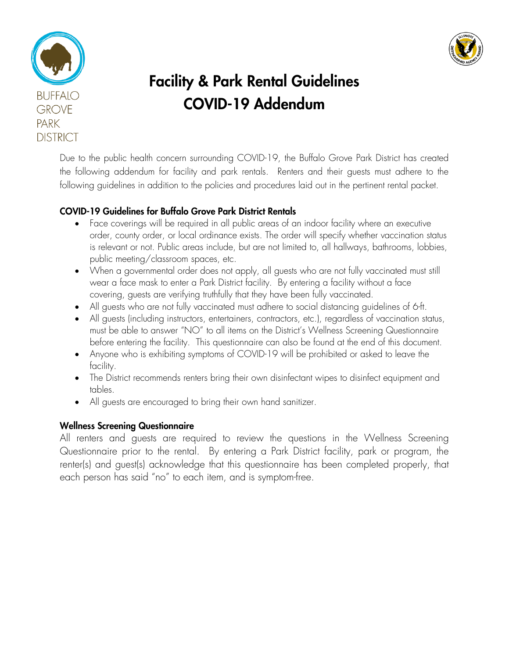



## Facility & Park Rental Guidelines COVID-19 Addendum

Due to the public health concern surrounding COVID-19, the Buffalo Grove Park District has created the following addendum for facility and park rentals. Renters and their guests must adhere to the following guidelines in addition to the policies and procedures laid out in the pertinent rental packet.

### COVID-19 Guidelines for Buffalo Grove Park District Rentals

- Face coverings will be required in all public areas of an indoor facility where an executive order, county order, or local ordinance exists. The order will specify whether vaccination status is relevant or not. Public areas include, but are not limited to, all hallways, bathrooms, lobbies, public meeting/classroom spaces, etc.
- When a governmental order does not apply, all guests who are not fully vaccinated must still wear a face mask to enter a Park District facility. By entering a facility without a face covering, guests are verifying truthfully that they have been fully vaccinated.
- All guests who are not fully vaccinated must adhere to social distancing guidelines of 6-ft.
- All guests (including instructors, entertainers, contractors, etc.), regardless of vaccination status, must be able to answer "NO" to all items on the District's Wellness Screening Questionnaire before entering the facility. This questionnaire can also be found at the end of this document.
- Anyone who is exhibiting symptoms of COVID-19 will be prohibited or asked to leave the facility.
- The District recommends renters bring their own disinfectant wipes to disinfect equipment and tables.
- All guests are encouraged to bring their own hand sanitizer.

### Wellness Screening Questionnaire

All renters and guests are required to review the questions in the Wellness Screening Questionnaire prior to the rental. By entering a Park District facility, park or program, the renter(s) and guest(s) acknowledge that this questionnaire has been completed properly, that each person has said "no" to each item, and is symptom-free.